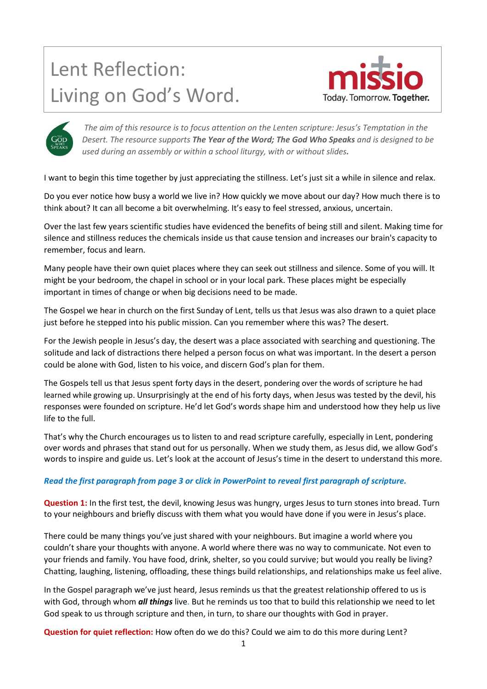# Lent Reflection: Living on God's Word.





*The aim of this resource is to focus attention on the Lenten scripture: Jesus's Temptation in the Desert. The resource supports The Year of the Word; The God Who Speaks and is designed to be used during an assembly or within a school liturgy, with or without slides.*

I want to begin this time together by just appreciating the stillness. Let's just sit a while in silence and relax.

Do you ever notice how busy a world we live in? How quickly we move about our day? How much there is to think about? It can all become a bit overwhelming. It's easy to feel stressed, anxious, uncertain.

Over the last few years scientific studies have evidenced the benefits of being still and silent. Making time for silence and stillness reduces the chemicals inside us that cause tension and increases our brain's capacity to remember, focus and learn.

Many people have their own quiet places where they can seek out stillness and silence. Some of you will. It might be your bedroom, the chapel in school or in your local park. These places might be especially important in times of change or when big decisions need to be made.

The Gospel we hear in church on the first Sunday of Lent, tells us that Jesus was also drawn to a quiet place just before he stepped into his public mission. Can you remember where this was? The desert.

For the Jewish people in Jesus's day, the desert was a place associated with searching and questioning. The solitude and lack of distractions there helped a person focus on what was important. In the desert a person could be alone with God, listen to his voice, and discern God's plan for them.

The Gospels tell us that Jesus spent forty days in the desert, pondering over the words of scripture he had learned while growing up. Unsurprisingly at the end of his forty days, when Jesus was tested by the devil, his responses were founded on scripture. He'd let God's words shape him and understood how they help us live life to the full.

That's why the Church encourages us to listen to and read scripture carefully, especially in Lent, pondering over words and phrases that stand out for us personally. When we study them, as Jesus did, we allow God's words to inspire and guide us. Let's look at the account of Jesus's time in the desert to understand this more.

## *Read the first paragraph from page 3 or* **c***lick in PowerPoint to reveal first paragraph of scripture.*

**Question 1:** In the first test, the devil, knowing Jesus was hungry, urges Jesus to turn stones into bread. Turn to your neighbours and briefly discuss with them what you would have done if you were in Jesus's place.

There could be many things you've just shared with your neighbours. But imagine a world where you couldn't share your thoughts with anyone. A world where there was no way to communicate. Not even to your friends and family. You have food, drink, shelter, so you could survive; but would you really be living? Chatting, laughing, listening, offloading, these things build relationships, and relationships make us feel alive.

In the Gospel paragraph we've just heard, Jesus reminds us that the greatest relationship offered to us is with God, through whom *all things* live. But he reminds us too that to build this relationship we need to let God speak to us through scripture and then, in turn, to share our thoughts with God in prayer.

**Question for quiet reflection:** How often do we do this? Could we aim to do this more during Lent?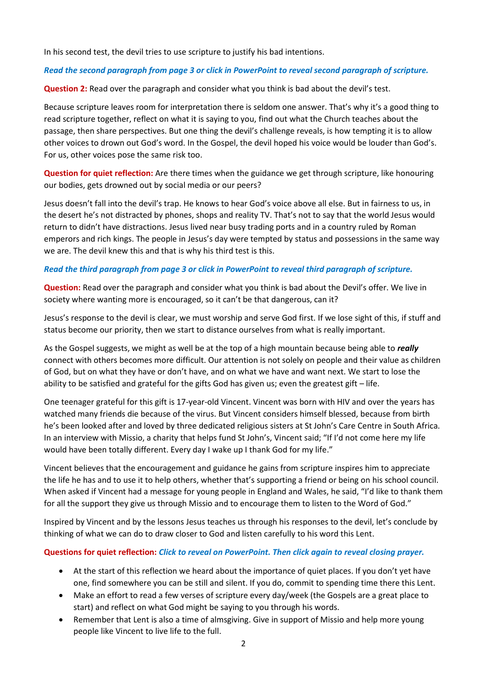In his second test, the devil tries to use scripture to justify his bad intentions.

#### *Read the second paragraph from page 3 or* **c***lick in PowerPoint to reveal second paragraph of scripture.*

**Question 2:** Read over the paragraph and consider what you think is bad about the devil's test.

Because scripture leaves room for interpretation there is seldom one answer. That's why it's a good thing to read scripture together, reflect on what it is saying to you, find out what the Church teaches about the passage, then share perspectives. But one thing the devil's challenge reveals, is how tempting it is to allow other voices to drown out God's word. In the Gospel, the devil hoped his voice would be louder than God's. For us, other voices pose the same risk too.

**Question for quiet reflection:** Are there times when the guidance we get through scripture, like honouring our bodies, gets drowned out by social media or our peers?

Jesus doesn't fall into the devil's trap. He knows to hear God's voice above all else. But in fairness to us, in the desert he's not distracted by phones, shops and reality TV. That's not to say that the world Jesus would return to didn't have distractions. Jesus lived near busy trading ports and in a country ruled by Roman emperors and rich kings. The people in Jesus's day were tempted by status and possessions in the same way we are. The devil knew this and that is why his third test is this.

#### *Read the third paragraph from page 3 or* **c***lick in PowerPoint to reveal third paragraph of scripture.*

**Question:** Read over the paragraph and consider what you think is bad about the Devil's offer. We live in society where wanting more is encouraged, so it can't be that dangerous, can it?

Jesus's response to the devil is clear, we must worship and serve God first. If we lose sight of this, if stuff and status become our priority, then we start to distance ourselves from what is really important.

As the Gospel suggests, we might as well be at the top of a high mountain because being able to *really* connect with others becomes more difficult. Our attention is not solely on people and their value as children of God, but on what they have or don't have, and on what we have and want next. We start to lose the ability to be satisfied and grateful for the gifts God has given us; even the greatest gift – life.

One teenager grateful for this gift is 17-year-old Vincent. Vincent was born with HIV and over the years has watched many friends die because of the virus. But Vincent considers himself blessed, because from birth he's been looked after and loved by three dedicated religious sisters at St John's Care Centre in South Africa. In an interview with Missio, a charity that helps fund St John's, Vincent said; "If I'd not come here my life would have been totally different. Every day I wake up I thank God for my life."

Vincent believes that the encouragement and guidance he gains from scripture inspires him to appreciate the life he has and to use it to help others, whether that's supporting a friend or being on his school council. When asked if Vincent had a message for young people in England and Wales, he said, "I'd like to thank them for all the support they give us through Missio and to encourage them to listen to the Word of God."

Inspired by Vincent and by the lessons Jesus teaches us through his responses to the devil, let's conclude by thinking of what we can do to draw closer to God and listen carefully to his word this Lent.

## **Questions for quiet reflection:** *Click to reveal on PowerPoint. Then click again to reveal closing prayer.*

- At the start of this reflection we heard about the importance of quiet places. If you don't yet have one, find somewhere you can be still and silent. If you do, commit to spending time there this Lent.
- Make an effort to read a few verses of scripture every day/week (the Gospels are a great place to start) and reflect on what God might be saying to you through his words.
- Remember that Lent is also a time of almsgiving. Give in support of Missio and help more young people like Vincent to live life to the full.